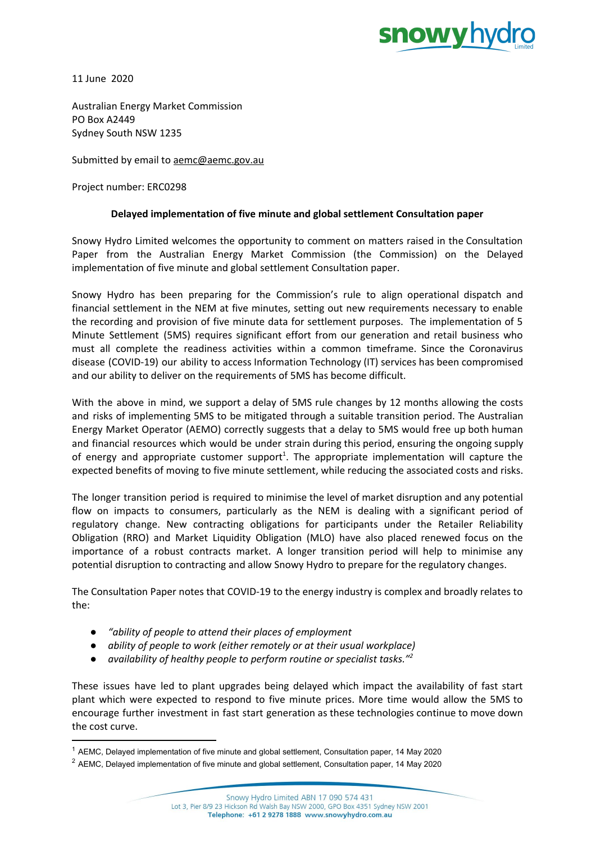

11 June 2020

Australian Energy Market Commission PO Box A2449 Sydney South NSW 1235

Submitted by email to [aemc@aemc.gov.au](mailto:aemc@aemc.gov.au)

Project number: ERC0298

## **Delayed implementation of five minute and global settlement Consultation paper**

Snowy Hydro Limited welcomes the opportunity to comment on matters raised in the Consultation Paper from the Australian Energy Market Commission (the Commission) on the Delayed implementation of five minute and global settlement Consultation paper.

Snowy Hydro has been preparing for the Commission's rule to align operational dispatch and financial settlement in the NEM at five minutes, setting out new requirements necessary to enable the recording and provision of five minute data for settlement purposes. The implementation of 5 Minute Settlement (5MS) requires significant effort from our generation and retail business who must all complete the readiness activities within a common timeframe. Since the Coronavirus disease (COVID-19) our ability to access Information Technology (IT) services has been compromised and our ability to deliver on the requirements of 5MS has become difficult.

With the above in mind, we support a delay of 5MS rule changes by 12 months allowing the costs and risks of implementing 5MS to be mitigated through a suitable transition period. The Australian Energy Market Operator (AEMO) correctly suggests that a delay to 5MS would free up both human and financial resources which would be under strain during this period, ensuring the ongoing supply of energy and appropriate customer support<sup>1</sup>. The appropriate implementation will capture the expected benefits of moving to five minute settlement, while reducing the associated costs and risks.

The longer transition period is required to minimise the level of market disruption and any potential flow on impacts to consumers, particularly as the NEM is dealing with a significant period of regulatory change. New contracting obligations for participants under the Retailer Reliability Obligation (RRO) and Market Liquidity Obligation (MLO) have also placed renewed focus on the importance of a robust contracts market. A longer transition period will help to minimise any potential disruption to contracting and allow Snowy Hydro to prepare for the regulatory changes.

The Consultation Paper notes that COVID-19 to the energy industry is complex and broadly relates to the:

- *● "ability of people to attend their places of employment*
- *● ability of people to work (either remotely or at their usual workplace)*
- *● availability of healthy people to perform routine or specialist tasks." 2*

These issues have led to plant upgrades being delayed which impact the availability of fast start plant which were expected to respond to five minute prices. More time would allow the 5MS to encourage further investment in fast start generation as these technologies continue to move down the cost curve.

<sup>1</sup> AEMC, Delayed implementation of five minute and global settlement, Consultation paper, 14 May 2020

<sup>&</sup>lt;sup>2</sup> AEMC, Delayed implementation of five minute and global settlement, Consultation paper, 14 May 2020